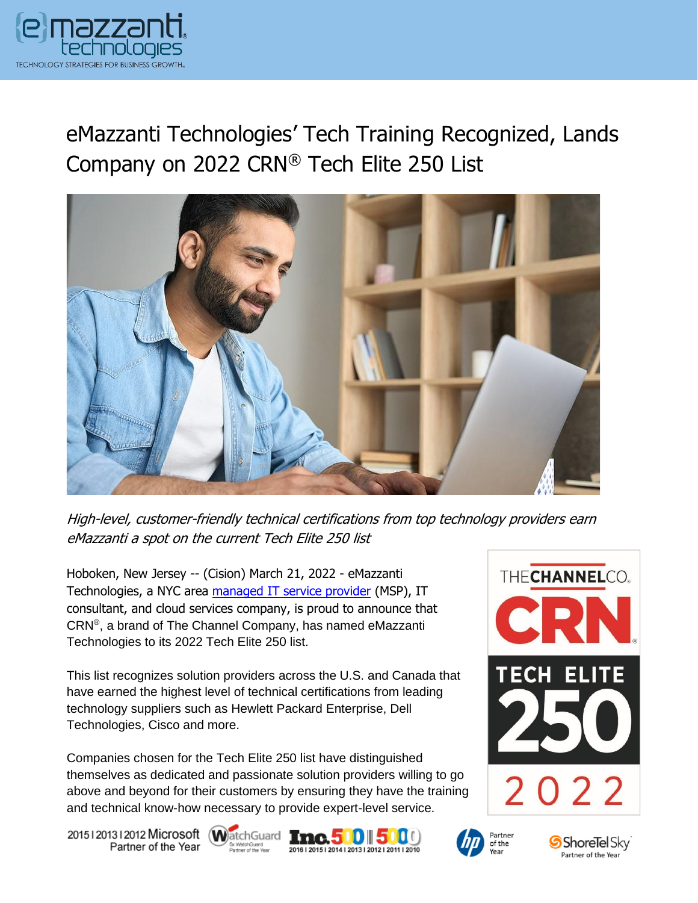

# eMazzanti Technologies' Tech Training Recognized, Lands Company on 2022 CRN® Tech Elite 250 List



High-level, customer-friendly technical certifications from top technology providers earn eMazzanti a spot on the current Tech Elite 250 list

Hoboken, New Jersey -- (Cision) March 21, 2022 - eMazzanti Technologies, a NYC area [managed IT service provider](https://www.emazzanti.net/services/) (MSP), IT consultant, and cloud services company, is proud to announce that CRN® , a brand of The Channel Company, has named eMazzanti Technologies to its 2022 Tech Elite 250 list.

This list recognizes solution providers across the U.S. and Canada that have earned the highest level of technical certifications from leading technology suppliers such as Hewlett Packard Enterprise, Dell Technologies, Cisco and more.

Companies chosen for the Tech Elite 250 list have distinguished themselves as dedicated and passionate solution providers willing to go above and beyond for their customers by ensuring they have the training and technical know-how necessary to provide expert-level service.

20151201312012 Microsoft WatchGuard Tnc. 500 500 Partner of the Year









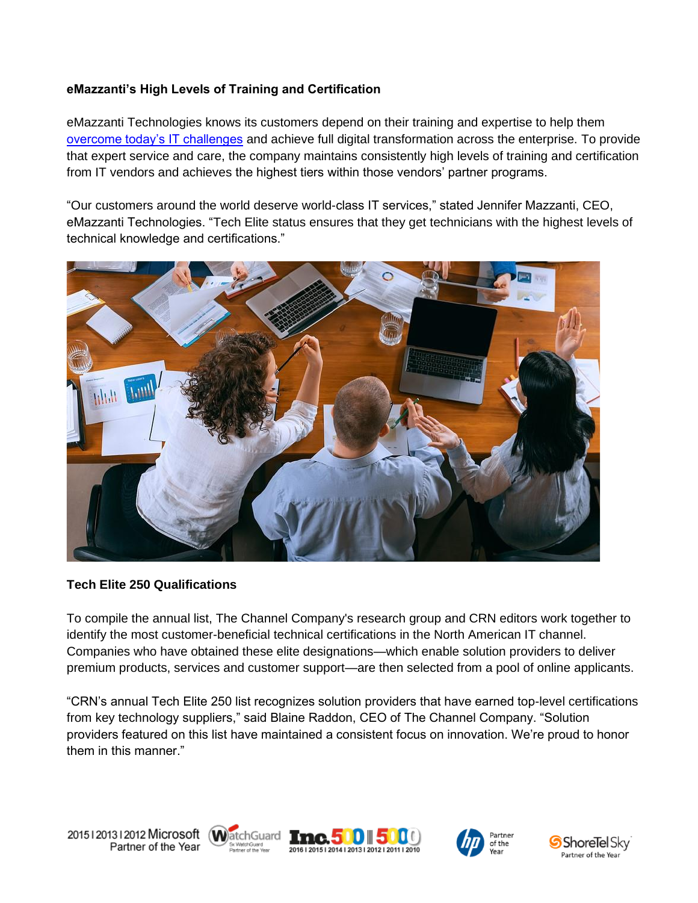## **eMazzanti's High Levels of Training and Certification**

eMazzanti Technologies knows its customers depend on their training and expertise to help them [overcome today's IT challenges](https://www.emazzanti.net/managed-network-services/) and achieve full digital transformation across the enterprise. To provide that expert service and care, the company maintains consistently high levels of training and certification from IT vendors and achieves the highest tiers within those vendors' partner programs.

"Our customers around the world deserve world-class IT services," stated Jennifer Mazzanti, CEO, eMazzanti Technologies. "Tech Elite status ensures that they get technicians with the highest levels of technical knowledge and certifications."



### **Tech Elite 250 Qualifications**

To compile the annual list, The Channel Company's research group and CRN editors work together to identify the most customer-beneficial technical certifications in the North American IT channel. Companies who have obtained these elite designations—which enable solution providers to deliver premium products, services and customer support—are then selected from a pool of online applicants.

"CRN's annual Tech Elite 250 list recognizes solution providers that have earned top-level certifications from key technology suppliers," said Blaine Raddon, CEO of The Channel Company. "Solution providers featured on this list have maintained a consistent focus on innovation. We're proud to honor them in this manner."